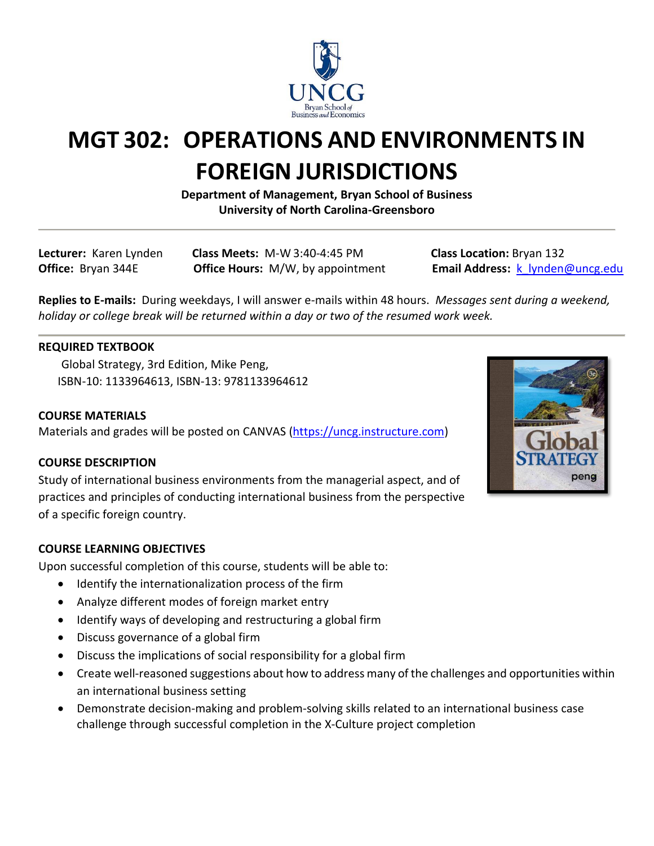

# **MGT 302: OPERATIONS AND ENVIRONMENTS IN FOREIGN JURISDICTIONS**

**Department of Management, Bryan School of Business University of North Carolina-Greensboro**

**Lecturer:** Karen Lynden **Class Meets:** M-W 3:40-4:45 PM **Class Location:** Bryan 132

**Office:** Bryan 344E **Office Hours:** M/W, by appointment **Email Address:** [k\\_lynden@uncg.edu](mailto:k_lynden@uncg.edu)

**Replies to E-mails:** During weekdays, I will answer e-mails within 48 hours.*Messages sent during a weekend, holiday or college break will be returned within a day or two of the resumed work week.*

# **REQUIRED TEXTBOOK**

Global Strategy, 3rd Edition, Mike Peng, ISBN-10: 1133964613, ISBN-13: 9781133964612

# **COURSE MATERIALS**

Materials and grades will be posted on CANVAS [\(https://uncg.instructure.com\)](https://uncg.instructure.com/)

# **COURSE DESCRIPTION**

Study of international business environments from the managerial aspect, and of practices and principles of conducting international business from the perspective of a specific foreign country.

# **COURSE LEARNING OBJECTIVES**

Upon successful completion of this course, students will be able to:

- Identify the internationalization process of the firm
- Analyze different modes of foreign market entry
- Identify ways of developing and restructuring a global firm
- Discuss governance of a global firm
- Discuss the implications of social responsibility for a global firm
- Create well-reasoned suggestions about how to address many of the challenges and opportunities within an international business setting
- Demonstrate decision-making and problem-solving skills related to an international business case challenge through successful completion in the X-Culture project completion

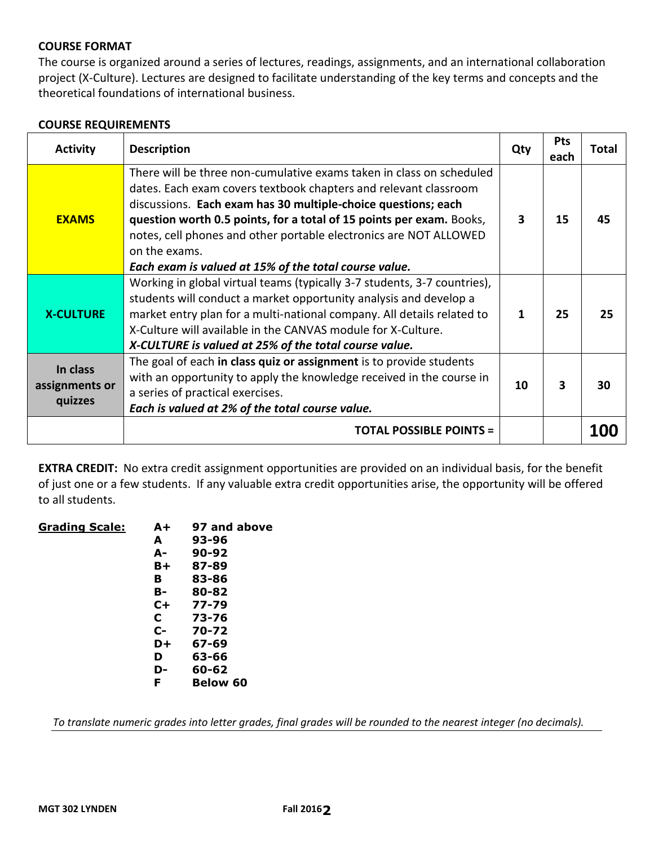#### **COURSE FORMAT**

The course is organized around a series of lectures, readings, assignments, and an international collaboration project (X-Culture). Lectures are designed to facilitate understanding of the key terms and concepts and the theoretical foundations of international business.

#### **COURSE REQUIREMENTS**

| <b>Activity</b>                       | <b>Description</b>                                                                                                                                                                                                                                                                                                                                                                                                               | Qty | <b>Pts</b><br>each | Total |
|---------------------------------------|----------------------------------------------------------------------------------------------------------------------------------------------------------------------------------------------------------------------------------------------------------------------------------------------------------------------------------------------------------------------------------------------------------------------------------|-----|--------------------|-------|
| <b>EXAMS</b>                          | There will be three non-cumulative exams taken in class on scheduled<br>dates. Each exam covers textbook chapters and relevant classroom<br>discussions. Each exam has 30 multiple-choice questions; each<br>question worth 0.5 points, for a total of 15 points per exam. Books,<br>notes, cell phones and other portable electronics are NOT ALLOWED<br>on the exams.<br>Each exam is valued at 15% of the total course value. | 3   | 15                 | 45    |
| <b>X-CULTURE</b>                      | Working in global virtual teams (typically 3-7 students, 3-7 countries),<br>students will conduct a market opportunity analysis and develop a<br>market entry plan for a multi-national company. All details related to<br>X-Culture will available in the CANVAS module for X-Culture.<br>X-CULTURE is valued at 25% of the total course value.                                                                                 | 1   | 25                 | 25    |
| In class<br>assignments or<br>quizzes | The goal of each in class quiz or assignment is to provide students<br>with an opportunity to apply the knowledge received in the course in<br>a series of practical exercises.<br>Each is valued at 2% of the total course value.                                                                                                                                                                                               | 10  | 3                  | 30    |
|                                       | <b>TOTAL POSSIBLE POINTS =</b>                                                                                                                                                                                                                                                                                                                                                                                                   |     |                    |       |

**EXTRA CREDIT:** No extra credit assignment opportunities are provided on an individual basis, for the benefit of just one or a few students. If any valuable extra credit opportunities arise, the opportunity will be offered to all students.

| <b>Grading Scale:</b> | A+    | 97 and above    |
|-----------------------|-------|-----------------|
|                       | A     | 93-96           |
|                       | А-    | $90 - 92$       |
|                       | B+    | 87-89           |
|                       | в     | 83-86           |
|                       | в-    | 80-82           |
|                       | $C +$ | $77 - 79$       |
|                       | C     | 73-76           |
|                       | $c-$  | 70-72           |
|                       | D+    | 67-69           |
|                       | D     | 63-66           |
|                       | D-    | 60-62           |
|                       | F     | <b>Below 60</b> |
|                       |       |                 |

*To translate numeric grades into letter grades, final grades will be rounded to the nearest integer (no decimals).*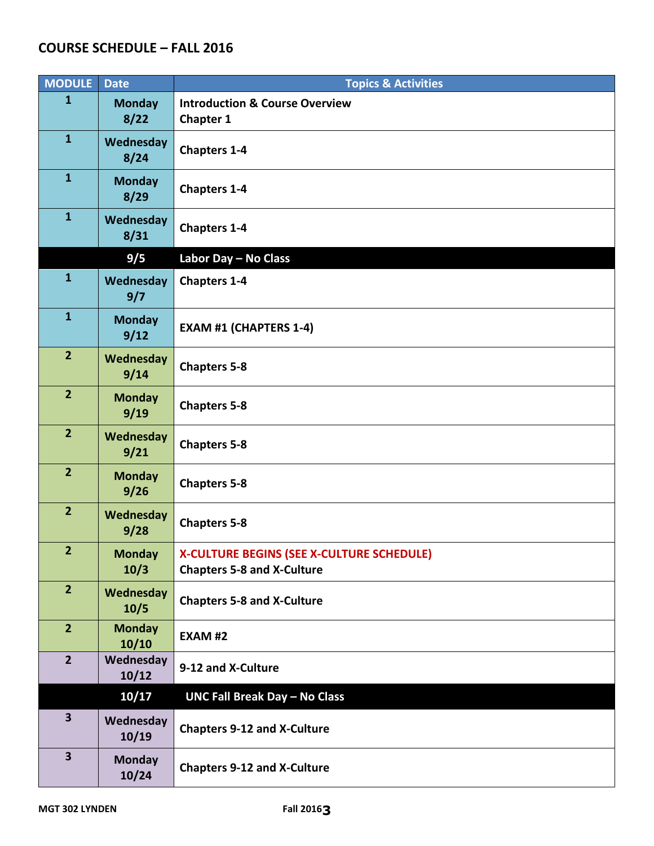# **COURSE SCHEDULE – FALL 2016**

| <b>MODULE</b>           | <b>Date</b>            | <b>Topics &amp; Activities</b>                                                 |
|-------------------------|------------------------|--------------------------------------------------------------------------------|
| $\mathbf{1}$            | <b>Monday</b><br>8/22  | <b>Introduction &amp; Course Overview</b><br><b>Chapter 1</b>                  |
| $\mathbf{1}$            | Wednesday<br>8/24      | <b>Chapters 1-4</b>                                                            |
| $\mathbf{1}$            | <b>Monday</b><br>8/29  | <b>Chapters 1-4</b>                                                            |
| $\mathbf{1}$            | Wednesday<br>8/31      | <b>Chapters 1-4</b>                                                            |
|                         | 9/5                    | Labor Day - No Class                                                           |
| $\mathbf{1}$            | Wednesday<br>9/7       | <b>Chapters 1-4</b>                                                            |
| $\mathbf{1}$            | <b>Monday</b><br>9/12  | <b>EXAM #1 (CHAPTERS 1-4)</b>                                                  |
| $\overline{2}$          | Wednesday<br>9/14      | <b>Chapters 5-8</b>                                                            |
| $\overline{2}$          | <b>Monday</b><br>9/19  | <b>Chapters 5-8</b>                                                            |
| 2 <sup>2</sup>          | Wednesday<br>9/21      | <b>Chapters 5-8</b>                                                            |
| $\overline{2}$          | <b>Monday</b><br>9/26  | <b>Chapters 5-8</b>                                                            |
| $\overline{2}$          | Wednesday<br>9/28      | <b>Chapters 5-8</b>                                                            |
| $\overline{2}$          | <b>Monday</b><br>10/3  | X-CULTURE BEGINS (SEE X-CULTURE SCHEDULE)<br><b>Chapters 5-8 and X-Culture</b> |
| 2 <sup>1</sup>          | Wednesday<br>10/5      | <b>Chapters 5-8 and X-Culture</b>                                              |
| 2 <sup>2</sup>          | <b>Monday</b><br>10/10 | <b>EXAM #2</b>                                                                 |
| 2 <sup>1</sup>          | Wednesday<br>10/12     | 9-12 and X-Culture                                                             |
|                         | 10/17                  | <b>UNC Fall Break Day - No Class</b>                                           |
| $\overline{\mathbf{3}}$ | Wednesday<br>10/19     | <b>Chapters 9-12 and X-Culture</b>                                             |
| $\overline{\mathbf{3}}$ | <b>Monday</b><br>10/24 | <b>Chapters 9-12 and X-Culture</b>                                             |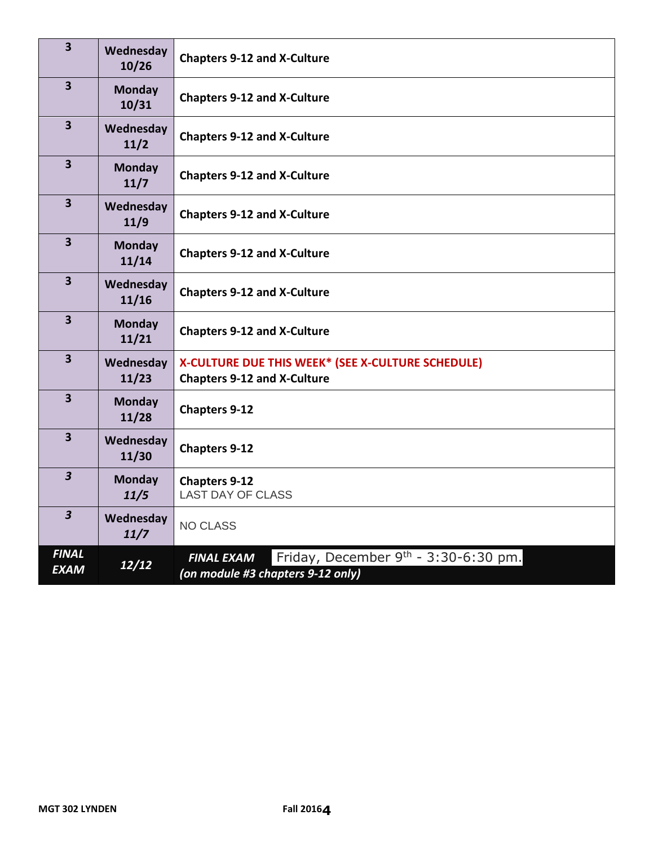| $\overline{\mathbf{3}}$     | Wednesday<br>10/26     | <b>Chapters 9-12 and X-Culture</b>                                                               |  |
|-----------------------------|------------------------|--------------------------------------------------------------------------------------------------|--|
| 3 <sup>1</sup>              | <b>Monday</b><br>10/31 | <b>Chapters 9-12 and X-Culture</b>                                                               |  |
| $\overline{\mathbf{3}}$     | Wednesday<br>11/2      | <b>Chapters 9-12 and X-Culture</b>                                                               |  |
| $\overline{\mathbf{3}}$     | <b>Monday</b><br>11/7  | <b>Chapters 9-12 and X-Culture</b>                                                               |  |
| $\overline{\mathbf{3}}$     | Wednesday<br>11/9      | <b>Chapters 9-12 and X-Culture</b>                                                               |  |
| $\overline{\mathbf{3}}$     | <b>Monday</b><br>11/14 | <b>Chapters 9-12 and X-Culture</b>                                                               |  |
| $\overline{\mathbf{3}}$     | Wednesday<br>11/16     | <b>Chapters 9-12 and X-Culture</b>                                                               |  |
| $\overline{\mathbf{3}}$     | <b>Monday</b><br>11/21 | <b>Chapters 9-12 and X-Culture</b>                                                               |  |
| $\overline{\mathbf{3}}$     | Wednesday<br>11/23     | X-CULTURE DUE THIS WEEK* (SEE X-CULTURE SCHEDULE)<br><b>Chapters 9-12 and X-Culture</b>          |  |
| $\overline{\mathbf{3}}$     | <b>Monday</b><br>11/28 | <b>Chapters 9-12</b>                                                                             |  |
| $\overline{\mathbf{3}}$     | Wednesday<br>11/30     | <b>Chapters 9-12</b>                                                                             |  |
| $\overline{\mathbf{3}}$     | <b>Monday</b><br>11/5  | <b>Chapters 9-12</b><br><b>LAST DAY OF CLASS</b>                                                 |  |
| $\overline{\mathbf{3}}$     | Wednesday<br>11/7      | <b>NO CLASS</b>                                                                                  |  |
| <b>FINAL</b><br><b>EXAM</b> | 12/12                  | Friday, December $9th - 3:30-6:30$ pm.<br><b>FINAL EXAM</b><br>(on module #3 chapters 9-12 only) |  |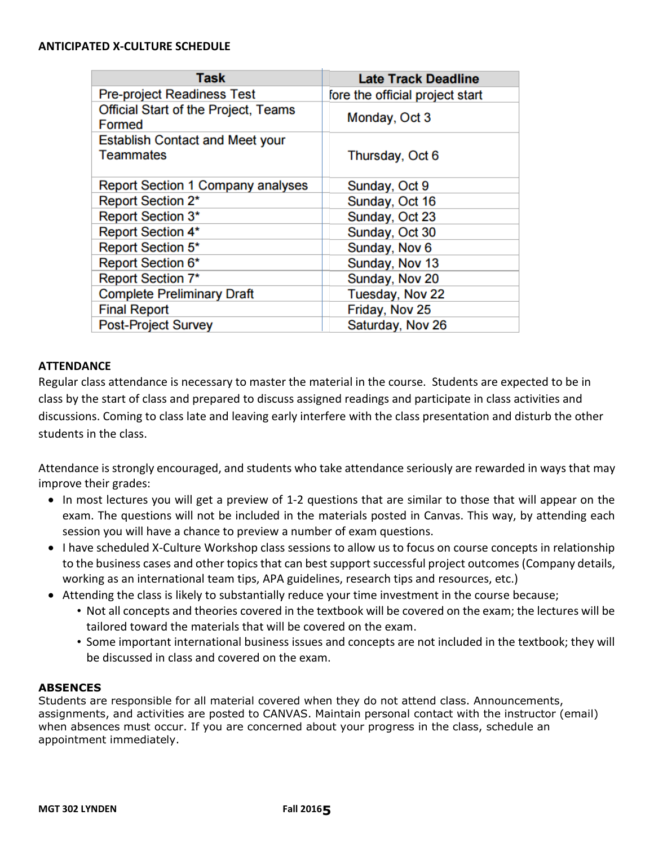#### **ANTICIPATED X-CULTURE SCHEDULE**

| <b>Task</b>                                                  | <b>Late Track Deadline</b>      |
|--------------------------------------------------------------|---------------------------------|
| <b>Pre-project Readiness Test</b>                            | fore the official project start |
| <b>Official Start of the Project, Teams</b><br><b>Formed</b> | Monday, Oct 3                   |
| <b>Establish Contact and Meet your</b><br><b>Teammates</b>   | Thursday, Oct 6                 |
| <b>Report Section 1 Company analyses</b>                     | Sunday, Oct 9                   |
| <b>Report Section 2*</b>                                     | Sunday, Oct 16                  |
| <b>Report Section 3*</b>                                     | Sunday, Oct 23                  |
| <b>Report Section 4*</b>                                     | Sunday, Oct 30                  |
| Report Section 5*                                            | Sunday, Nov 6                   |
| <b>Report Section 6*</b>                                     | Sunday, Nov 13                  |
| <b>Report Section 7*</b>                                     | Sunday, Nov 20                  |
| <b>Complete Preliminary Draft</b>                            | Tuesday, Nov 22                 |
| <b>Final Report</b>                                          | Friday, Nov 25                  |
| <b>Post-Project Survey</b>                                   | Saturday, Nov 26                |

#### **ATTENDANCE**

Regular class attendance is necessary to master the material in the course. Students are expected to be in class by the start of class and prepared to discuss assigned readings and participate in class activities and discussions. Coming to class late and leaving early interfere with the class presentation and disturb the other students in the class.

Attendance is strongly encouraged, and students who take attendance seriously are rewarded in ways that may improve their grades:

- In most lectures you will get a preview of 1-2 questions that are similar to those that will appear on the exam. The questions will not be included in the materials posted in Canvas. This way, by attending each session you will have a chance to preview a number of exam questions.
- I have scheduled X-Culture Workshop class sessions to allow us to focus on course concepts in relationship to the business cases and other topics that can best support successful project outcomes (Company details, working as an international team tips, APA guidelines, research tips and resources, etc.)
- Attending the class is likely to substantially reduce your time investment in the course because;
	- Not all concepts and theories covered in the textbook will be covered on the exam; the lectures will be tailored toward the materials that will be covered on the exam.
	- Some important international business issues and concepts are not included in the textbook; they will be discussed in class and covered on the exam.

#### **ABSENCES**

Students are responsible for all material covered when they do not attend class. Announcements, assignments, and activities are posted to CANVAS. Maintain personal contact with the instructor (email) when absences must occur. If you are concerned about your progress in the class, schedule an appointment immediately.